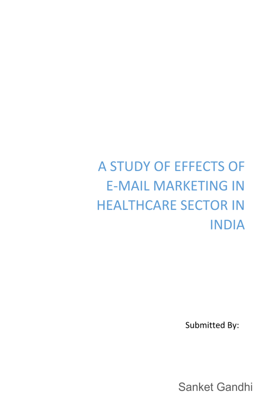# A STUDY OF EFFECTS OF **E-MAIL MARKETING IN HEALTHCARE SECTOR IN INDIA**

Submitted By:

Sanket Gandhi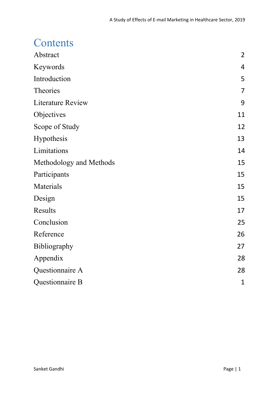### **Contents**

| Abstract                 | $\overline{2}$ |
|--------------------------|----------------|
| Keywords                 | 4              |
| Introduction             | 5              |
| Theories                 | $\overline{7}$ |
| <b>Literature Review</b> | 9              |
| Objectives               | 11             |
| Scope of Study           | 12             |
| <b>Hypothesis</b>        | 13             |
| Limitations              | 14             |
| Methodology and Methods  | 15             |
| Participants             | 15             |
| Materials                | 15             |
| Design                   | 15             |
| Results                  | 17             |
| Conclusion               | 25             |
| Reference                | 26             |
| Bibliography             | 27             |
| Appendix                 | 28             |
| Questionnaire A          | 28             |
| Questionnaire B          | $\mathbf{1}$   |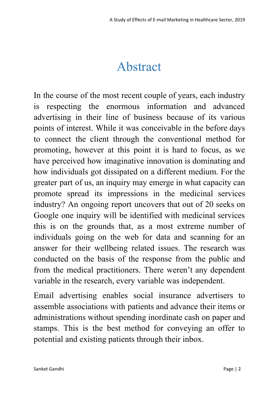## Abstract

<span id="page-2-0"></span>In the course of the most recent couple of years, each industry is respecting the enormous information and advanced advertising in their line of business because of its various points of interest. While it was conceivable in the before days to connect the client through the conventional method for promoting, however at this point it is hard to focus, as we have perceived how imaginative innovation is dominating and how individuals got dissipated on a different medium. For the greater part of us, an inquiry may emerge in what capacity can promote spread its impressions in the medicinal services industry? An ongoing report uncovers that out of 20 seeks on Google one inquiry will be identified with medicinal services this is on the grounds that, as a most extreme number of individuals going on the web for data and scanning for an answer for their wellbeing related issues. The research was conducted on the basis of the response from the public and from the medical practitioners. There weren't any dependent variable in the research, every variable was independent.

Email advertising enables social insurance advertisers to assemble associations with patients and advance their items or administrations without spending inordinate cash on paper and stamps. This is the best method for conveying an offer to potential and existing patients through their inbox.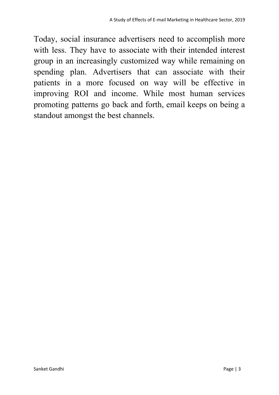Today, social insurance advertisers need to accomplish more with less. They have to associate with their intended interest group in an increasingly customized way while remaining on spending plan. Advertisers that can associate with their patients in a more focused on way will be effective in improving ROI and income. While most human services promoting patterns go back and forth, email keeps on being a standout amongst the best channels.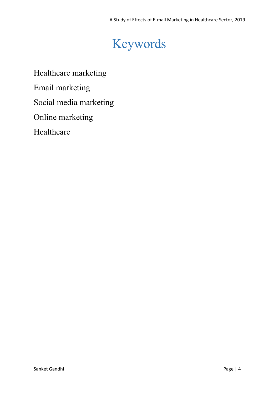# Keywords

<span id="page-4-0"></span>Healthcare marketing

Email marketing

Social media marketing

Online marketing

Healthcare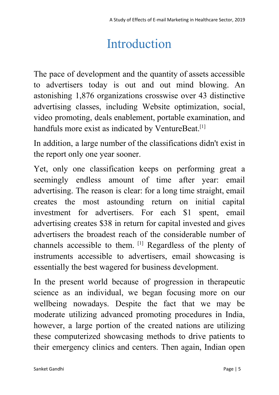# Introduction

<span id="page-5-0"></span>The pace of development and the quantity of assets accessible to advertisers today is out and out mind blowing. An astonishing 1,876 organizations crosswise over 43 distinctive advertising classes, including Website optimization, social, video promoting, deals enablement, portable examination, and handfuls more exist as indicated by VentureBeat.<sup>[1]</sup>

In addition, a large number of the classifications didn't exist in the report only one year sooner.

Yet, only one classification keeps on performing great a seemingly endless amount of time after year: email advertising. The reason is clear: for a long time straight, email creates the most astounding return on initial capital investment for advertisers. For each \$1 spent, email advertising creates \$38 in return for capital invested and gives advertisers the broadest reach of the considerable number of channels accessible to them. [1] Regardless of the plenty of instruments accessible to advertisers, email showcasing is essentially the best wagered for business development.

In the present world because of progression in therapeutic science as an individual, we began focusing more on our wellbeing nowadays. Despite the fact that we may be moderate utilizing advanced promoting procedures in India, however, a large portion of the created nations are utilizing these computerized showcasing methods to drive patients to their emergency clinics and centers. Then again, Indian open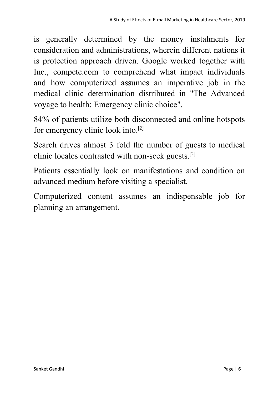is generally determined by the money instalments for consideration and administrations, wherein different nations it is protection approach driven. Google worked together with Inc., compete.com to comprehend what impact individuals and how computerized assumes an imperative job in the medical clinic determination distributed in "The Advanced voyage to health: Emergency clinic choice".

84% of patients utilize both disconnected and online hotspots for emergency clinic look into.[2]

Search drives almost 3 fold the number of guests to medical clinic locales contrasted with non-seek guests.[2]

Patients essentially look on manifestations and condition on advanced medium before visiting a specialist.

Computerized content assumes an indispensable job for planning an arrangement.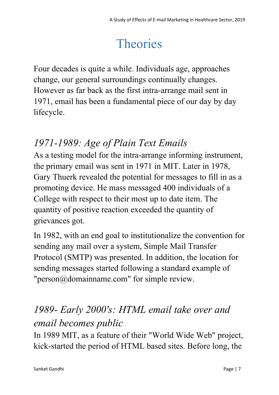# **Theories**

<span id="page-7-0"></span>Four decades is quite a while. Individuals age, approaches change, our general surroundings continually changes. However as far back as the first intra-arrange mail sent in 1971, email has been a fundamental piece of our day by day lifecycle.

### *1971-1989: Age of Plain Text Emails*

As a testing model for the intra-arrange informing instrument, the primary email was sent in 1971 in MIT. Later in 1978, Gary Thuerk revealed the potential for messages to fill in as a promoting device. He mass messaged 400 individuals of a College with respect to their most up to date item. The quantity of positive reaction exceeded the quantity of grievances got.

In 1982, with an end goal to institutionalize the convention for sending any mail over a system, Simple Mail Transfer Protocol (SMTP) was presented. In addition, the location for sending messages started following a standard example of "person@domainname.com" for simple review.

### *1989- Early 2000's: HTML email take over and email becomes public*

In 1989 MIT, as a feature of their "World Wide Web" project, kick-started the period of HTML based sites. Before long, the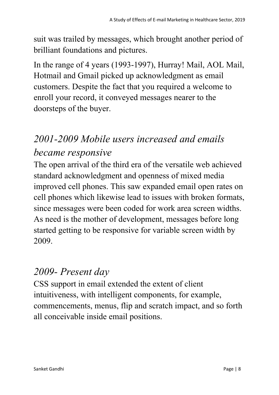suit was trailed by messages, which brought another period of brilliant foundations and pictures.

In the range of 4 years (1993-1997), Hurray! Mail, AOL Mail, Hotmail and Gmail picked up acknowledgment as email customers. Despite the fact that you required a welcome to enroll your record, it conveyed messages nearer to the doorsteps of the buyer.

## *2001-2009 Mobile users increased and emails became responsive*

The open arrival of the third era of the versatile web achieved standard acknowledgment and openness of mixed media improved cell phones. This saw expanded email open rates on cell phones which likewise lead to issues with broken formats, since messages were been coded for work area screen widths. As need is the mother of development, messages before long started getting to be responsive for variable screen width by 2009.

### *2009- Present day*

CSS support in email extended the extent of client intuitiveness, with intelligent components, for example, commencements, menus, flip and scratch impact, and so forth all conceivable inside email positions.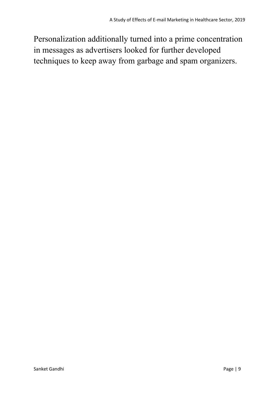Personalization additionally turned into a prime concentration in messages as advertisers looked for further developed techniques to keep away from garbage and spam organizers.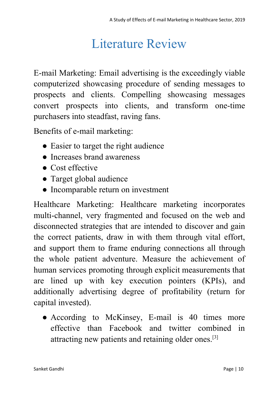## Literature Review

<span id="page-10-0"></span>E-mail Marketing: Email advertising is the exceedingly viable computerized showcasing procedure of sending messages to prospects and clients. Compelling showcasing messages convert prospects into clients, and transform one-time purchasers into steadfast, raving fans.

Benefits of e-mail marketing:

- Easier to target the right audience
- Increases brand awareness
- Cost effective
- Target global audience
- Incomparable return on investment

Healthcare Marketing: Healthcare marketing incorporates multi-channel, very fragmented and focused on the web and disconnected strategies that are intended to discover and gain the correct patients, draw in with them through vital effort, and support them to frame enduring connections all through the whole patient adventure. Measure the achievement of human services promoting through explicit measurements that are lined up with key execution pointers (KPIs), and additionally advertising degree of profitability (return for capital invested).

● According to McKinsey, E-mail is 40 times more effective than Facebook and twitter combined in attracting new patients and retaining older ones.[3]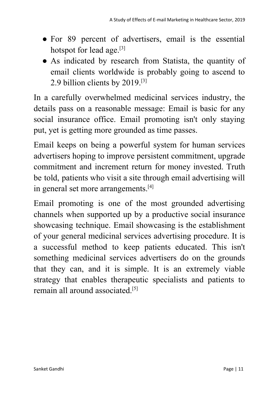- For 89 percent of advertisers, email is the essential hotspot for lead age.<sup>[3]</sup>
- As indicated by research from Statista, the quantity of email clients worldwide is probably going to ascend to 2.9 billion clients by 2019.[3]

In a carefully overwhelmed medicinal services industry, the details pass on a reasonable message: Email is basic for any social insurance office. Email promoting isn't only staying put, yet is getting more grounded as time passes.

Email keeps on being a powerful system for human services advertisers hoping to improve persistent commitment, upgrade commitment and increment return for money invested. Truth be told, patients who visit a site through email advertising will in general set more arrangements.<sup>[4]</sup>

Email promoting is one of the most grounded advertising channels when supported up by a productive social insurance showcasing technique. Email showcasing is the establishment of your general medicinal services advertising procedure. It is a successful method to keep patients educated. This isn't something medicinal services advertisers do on the grounds that they can, and it is simple. It is an extremely viable strategy that enables therapeutic specialists and patients to remain all around associated.[5]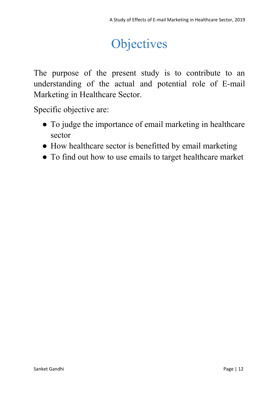# **Objectives**

<span id="page-12-0"></span>The purpose of the present study is to contribute to an understanding of the actual and potential role of E-mail Marketing in Healthcare Sector.

Specific objective are:

- To judge the importance of email marketing in healthcare sector
- How healthcare sector is benefitted by email marketing
- To find out how to use emails to target healthcare market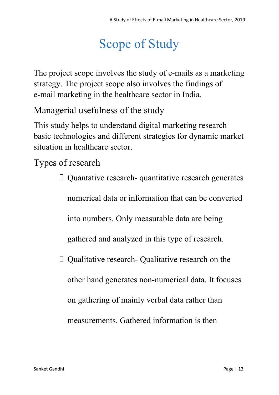# Scope of Study

<span id="page-13-0"></span>The project scope involves the study of e-mails as a marketing strategy. The project scope also involves the findings of e-mail marketing in the healthcare sector in India.

Managerial usefulness of the study

This study helps to understand digital marketing research basic technologies and different strategies for dynamic market situation in healthcare sector.

Types of research

Quantative research- quantitative research generates

numerical data or information that can be converted

into numbers. Only measurable data are being

gathered and analyzed in this type of research.

Qualitative research- Qualitative research on the

other hand generates non-numerical data. It focuses

on gathering of mainly verbal data rather than

measurements. Gathered information is then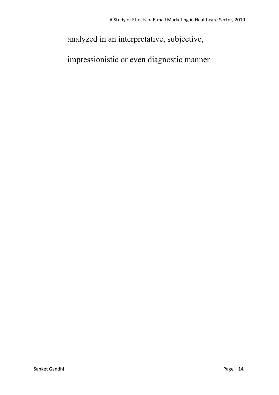### analyzed in an interpretative, subjective,

impressionistic or even diagnostic manner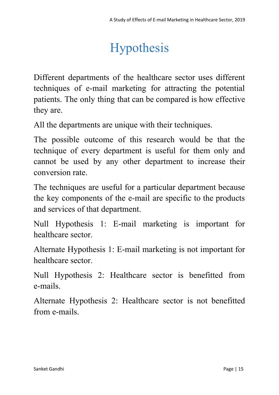# Hypothesis

<span id="page-15-0"></span>Different departments of the healthcare sector uses different techniques of e-mail marketing for attracting the potential patients. The only thing that can be compared is how effective they are.

All the departments are unique with their techniques.

The possible outcome of this research would be that the technique of every department is useful for them only and cannot be used by any other department to increase their conversion rate.

The techniques are useful for a particular department because the key components of the e-mail are specific to the products and services of that department.

Null Hypothesis 1: E-mail marketing is important for healthcare sector.

Alternate Hypothesis 1: E-mail marketing is not important for healthcare sector.

Null Hypothesis 2: Healthcare sector is benefitted from e-mails.

Alternate Hypothesis 2: Healthcare sector is not benefitted from e-mails.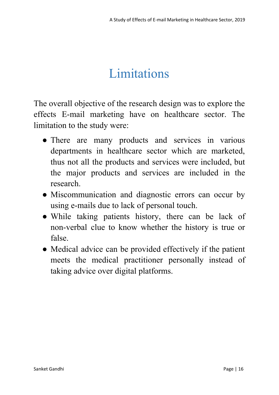# Limitations

<span id="page-16-0"></span>The overall objective of the research design was to explore the effects E-mail marketing have on healthcare sector. The limitation to the study were:

- There are many products and services in various departments in healthcare sector which are marketed, thus not all the products and services were included, but the major products and services are included in the research.
- Miscommunication and diagnostic errors can occur by using e-mails due to lack of personal touch.
- While taking patients history, there can be lack of non-verbal clue to know whether the history is true or false.
- Medical advice can be provided effectively if the patient meets the medical practitioner personally instead of taking advice over digital platforms.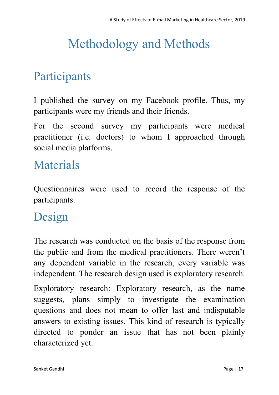# <span id="page-17-0"></span>Methodology and Methods

## <span id="page-17-1"></span>Participants

I published the survey on my Facebook profile. Thus, my participants were my friends and their friends.

For the second survey my participants were medical practitioner (i.e. doctors) to whom I approached through social media platforms.

## <span id="page-17-2"></span>Materials

Questionnaires were used to record the response of the participants.

## <span id="page-17-3"></span>Design

The research was conducted on the basis of the response from the public and from the medical practitioners. There weren't any dependent variable in the research, every variable was independent. The research design used is exploratory research.

Exploratory research: Exploratory research, as the name suggests, plans simply to investigate the examination questions and does not mean to offer last and indisputable answers to existing issues. This kind of research is typically directed to ponder an issue that has not been plainly characterized yet.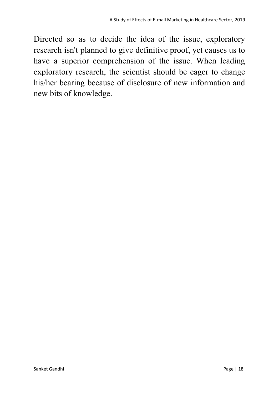Directed so as to decide the idea of the issue, exploratory research isn't planned to give definitive proof, yet causes us to have a superior comprehension of the issue. When leading exploratory research, the scientist should be eager to change his/her bearing because of disclosure of new information and new bits of knowledge.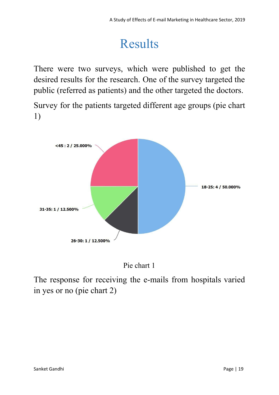# Results

<span id="page-19-0"></span>There were two surveys, which were published to get the desired results for the research. One of the survey targeted the public (referred as patients) and the other targeted the doctors.

Survey for the patients targeted different age groups (pie chart 1)



Pie chart 1

The response for receiving the e-mails from hospitals varied in yes or no (pie chart 2)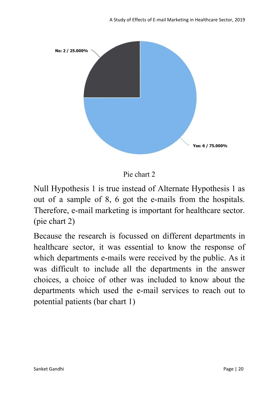

Pie chart 2

Null Hypothesis 1 is true instead of Alternate Hypothesis 1 as out of a sample of 8, 6 got the e-mails from the hospitals. Therefore, e-mail marketing is important for healthcare sector. (pie chart 2)

Because the research is focussed on different departments in healthcare sector, it was essential to know the response of which departments e-mails were received by the public. As it was difficult to include all the departments in the answer choices, a choice of other was included to know about the departments which used the e-mail services to reach out to potential patients (bar chart 1)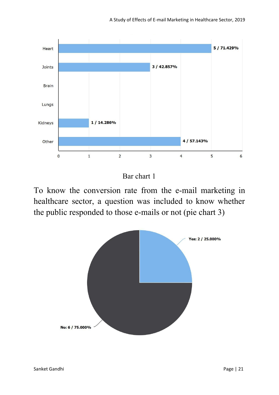

Bar chart 1

To know the conversion rate from the e-mail marketing in healthcare sector, a question was included to know whether the public responded to those e-mails or not (pie chart 3)

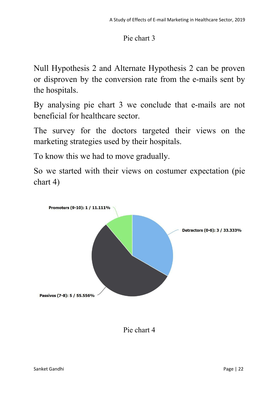#### Pie chart 3

Null Hypothesis 2 and Alternate Hypothesis 2 can be proven or disproven by the conversion rate from the e-mails sent by the hospitals.

By analysing pie chart 3 we conclude that e-mails are not beneficial for healthcare sector.

The survey for the doctors targeted their views on the marketing strategies used by their hospitals.

To know this we had to move gradually.

So we started with their views on costumer expectation (pie chart 4)



Pie chart 4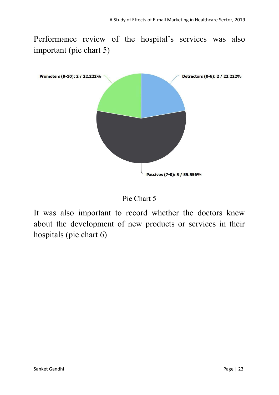Performance review of the hospital's services was also important (pie chart 5)



Pie Chart 5

It was also important to record whether the doctors knew about the development of new products or services in their hospitals (pie chart 6)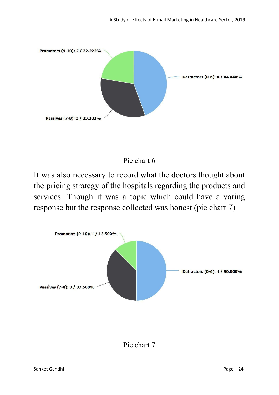

#### Pie chart 6

It was also necessary to record what the doctors thought about the pricing strategy of the hospitals regarding the products and services. Though it was a topic which could have a varing response but the response collected was honest (pie chart 7)

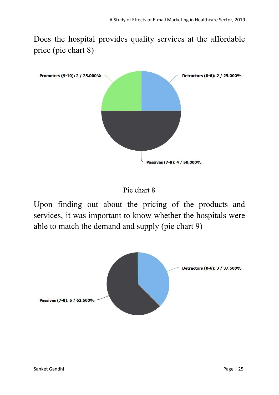Does the hospital provides quality services at the affordable price (pie chart 8)



Pie chart 8

Upon finding out about the pricing of the products and services, it was important to know whether the hospitals were able to match the demand and supply (pie chart 9)

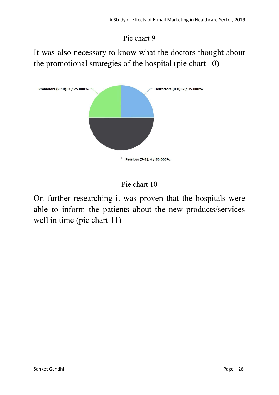Pie chart 9

It was also necessary to know what the doctors thought about the promotional strategies of the hospital (pie chart 10)





On further researching it was proven that the hospitals were able to inform the patients about the new products/services well in time (pie chart 11)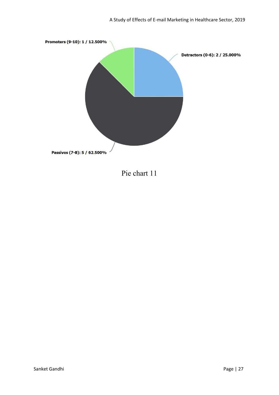

Pie chart 11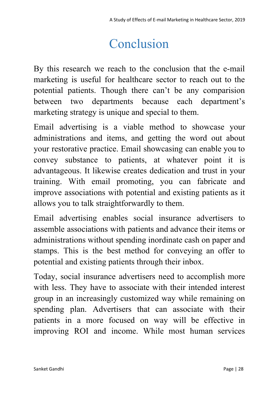# Conclusion

<span id="page-28-0"></span>By this research we reach to the conclusion that the e-mail marketing is useful for healthcare sector to reach out to the potential patients. Though there can't be any comparision between two departments because each department's marketing strategy is unique and special to them.

Email advertising is a viable method to showcase your administrations and items, and getting the word out about your restorative practice. Email showcasing can enable you to convey substance to patients, at whatever point it is advantageous. It likewise creates dedication and trust in your training. With email promoting, you can fabricate and improve associations with potential and existing patients as it allows you to talk straightforwardly to them.

Email advertising enables social insurance advertisers to assemble associations with patients and advance their items or administrations without spending inordinate cash on paper and stamps. This is the best method for conveying an offer to potential and existing patients through their inbox.

Today, social insurance advertisers need to accomplish more with less. They have to associate with their intended interest group in an increasingly customized way while remaining on spending plan. Advertisers that can associate with their patients in a more focused on way will be effective in improving ROI and income. While most human services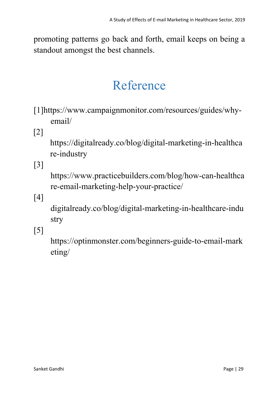promoting patterns go back and forth, email keeps on being a standout amongst the best channels.

# Reference

- <span id="page-29-0"></span>[1]https://www.campaignmonitor.com/resources/guides/whyemail/
- [2]

[https://digitalready.co/blog/digital-marketing-in-healthca](https://digitalready.co/blog/digital-marketing-in-healthcare-industry) [re-industry](https://digitalready.co/blog/digital-marketing-in-healthcare-industry)

[3]

https://www.practicebuilders.com/blog/how-can-healthca re-email-marketing-help-your-practice/

[4]

digitalready.co/blog/digital-marketing-in-healthcare-indu stry

[5]

[https://optinmonster.com/beginners-guide-to-email-mark](https://optinmonster.com/beginners-guide-to-email-marketing/) [eting/](https://optinmonster.com/beginners-guide-to-email-marketing/)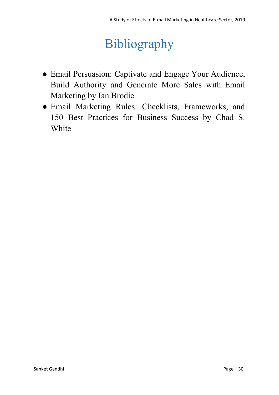# Bibliography

- <span id="page-30-0"></span>● Email Persuasion: Captivate and Engage Your Audience, Build Authority and Generate More Sales with Email Marketing by Ian Brodie
- Email Marketing Rules: Checklists, Frameworks, and 150 Best Practices for Business Success by Chad S. White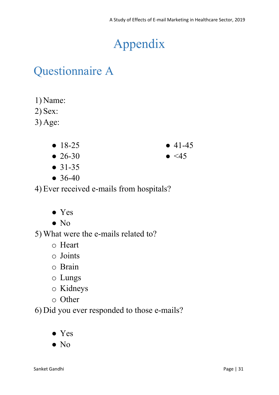# Appendix

## <span id="page-31-1"></span><span id="page-31-0"></span>Questionnaire A

- 1) Name:
- 2) Sex:
- 3) Age:
	- 18-25
	- 26-30
	- 31-35
	- 36-40

4) Ever received e-mails from hospitals?

- Yes
- No

5) What were the e-mails related to?

- o Heart
- o Joints
- o Brain
- o Lungs
- o Kidneys
- o Other

6) Did you ever responded to those e-mails?

- Yes
- No

 $• 41-45$ 

 $\bullet$  <45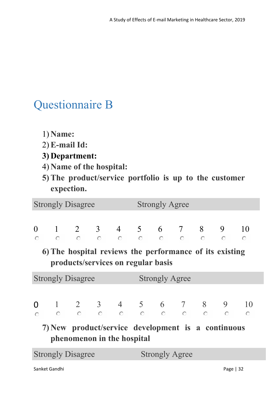## <span id="page-32-0"></span>Questionnaire B

- 1) **Name:**
- 2) **E-mail Id:**
- **3) Department:**
- 4) **Name of the hospital:**
- **5) The product/service portfolio is up to the customer expection.**

|                          | <b>Strongly Disagree</b>                                                                                                                                                                                             |  |                            |  | <b>Strongly Agree</b> |                                    |  |  |  |  |  |  |
|--------------------------|----------------------------------------------------------------------------------------------------------------------------------------------------------------------------------------------------------------------|--|----------------------------|--|-----------------------|------------------------------------|--|--|--|--|--|--|
|                          | $\begin{matrix} 0 & 1 & 2 & 3 & 4 & 5 & 6 & 7 & 8 & 9 & 10 \\ \circ & \circ & \circ & \circ & \circ & \circ & \circ & \circ & \circ & \circ \end{matrix}$<br>6) The hospital reviews the performance of its existing |  |                            |  |                       | products/services on regular basis |  |  |  |  |  |  |
|                          | <b>Strongly Disagree</b>                                                                                                                                                                                             |  |                            |  | <b>Strongly Agree</b> |                                    |  |  |  |  |  |  |
|                          |                                                                                                                                                                                                                      |  |                            |  |                       |                                    |  |  |  |  |  |  |
|                          | 7) New product/service development is a continuous                                                                                                                                                                   |  | phenomenon in the hospital |  |                       |                                    |  |  |  |  |  |  |
| <b>Strongly Disagree</b> |                                                                                                                                                                                                                      |  |                            |  | <b>Strongly Agree</b> |                                    |  |  |  |  |  |  |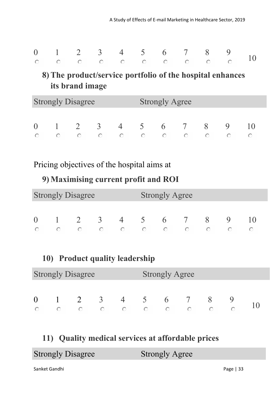|  |  |  |  | $\begin{matrix} 0 & 1 & 2 & 3 & 4 & 5 & 6 & 7 & 8 & 9 \\ 0 & 0 & 0 & 0 & 0 & 0 & 0 & 0 & 0 \end{matrix}$ |  |
|--|--|--|--|----------------------------------------------------------------------------------------------------------|--|
|  |  |  |  |                                                                                                          |  |

### **8) The product/service portfolio of the hospital enhances its brand image**

| <b>Strongly Disagree</b> |  |   |               |                |                | <b>Strongly Agree</b> |                |   |  |  |  |  |  |
|--------------------------|--|---|---------------|----------------|----------------|-----------------------|----------------|---|--|--|--|--|--|
|                          |  |   |               |                |                |                       |                |   |  |  |  |  |  |
| $\Omega$                 |  | 2 | $\mathcal{R}$ | $\overline{4}$ | 5 <sup>5</sup> | 6                     | $\overline{7}$ | X |  |  |  |  |  |
| o                        |  |   |               |                |                |                       |                |   |  |  |  |  |  |

### Pricing objectives of the hospital aims at

### **9) Maximising current profit and ROI**

| <b>Strongly Disagree</b> |  |   |               |                |            | <b>Strongly Agree</b> |     |    |             |  |  |  |  |  |
|--------------------------|--|---|---------------|----------------|------------|-----------------------|-----|----|-------------|--|--|--|--|--|
|                          |  |   |               |                |            |                       |     |    |             |  |  |  |  |  |
| $\Omega$                 |  | 2 | $\mathcal{R}$ | $\overline{4}$ | $\sqrt{5}$ |                       | 6 7 | -8 | $\mathbf Q$ |  |  |  |  |  |
|                          |  |   |               |                | O          |                       |     |    |             |  |  |  |  |  |

### **10) Product quality leadership**

| <b>Strongly Disagree</b> |  |   |               |                |               | <b>Strongly Agree</b> |  |  |  |  |  |  |  |
|--------------------------|--|---|---------------|----------------|---------------|-----------------------|--|--|--|--|--|--|--|
|                          |  |   |               |                |               |                       |  |  |  |  |  |  |  |
|                          |  | 2 | $\mathcal{R}$ | $\overline{4}$ | $\mathcal{L}$ | $\mathbf b$           |  |  |  |  |  |  |  |
|                          |  |   |               |                |               |                       |  |  |  |  |  |  |  |

### **11) Quality medical services at affordable prices**

| <b>Strongly Disagree</b> | <b>Strongly Agree</b> |  |
|--------------------------|-----------------------|--|
|                          |                       |  |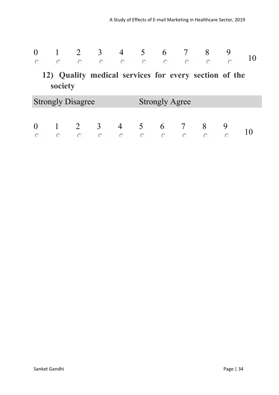### **12) Quality medical services for every section of the society**

| <b>Strongly Disagree</b> |  |  |  |  |  | <b>Strongly Agree</b> |  |  |  |  |  |  |  |
|--------------------------|--|--|--|--|--|-----------------------|--|--|--|--|--|--|--|
|                          |  |  |  |  |  |                       |  |  |  |  |  |  |  |
| $\theta$                 |  |  |  |  |  | 6                     |  |  |  |  |  |  |  |
|                          |  |  |  |  |  |                       |  |  |  |  |  |  |  |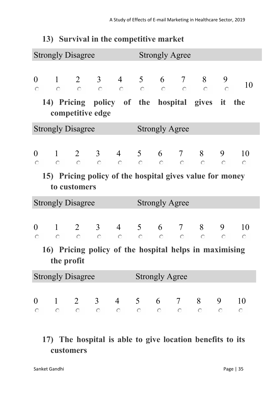|                      |                                                                                                                                     | <b>Strongly Disagree</b> |                                                                                                                                                 |                                                                                                      |                       | <b>Strongly Agree</b> |  |                 |         |                  |  |  |  |
|----------------------|-------------------------------------------------------------------------------------------------------------------------------------|--------------------------|-------------------------------------------------------------------------------------------------------------------------------------------------|------------------------------------------------------------------------------------------------------|-----------------------|-----------------------|--|-----------------|---------|------------------|--|--|--|
| $\overline{0}$<br>O. |                                                                                                                                     | competitive edge         | 14) Pricing policy of the hospital gives it the                                                                                                 |                                                                                                      |                       |                       |  |                 |         | 10               |  |  |  |
|                      |                                                                                                                                     | <b>Strongly Disagree</b> |                                                                                                                                                 |                                                                                                      |                       | <b>Strongly Agree</b> |  |                 |         |                  |  |  |  |
| $\overline{0}$<br>O  | 1 2 3 4 5 6 7 8 9 10<br>$\sim$ 0<br>$\sim$ 0<br>$\circ$<br>15) Pricing policy of the hospital gives value for money<br>to customers |                          |                                                                                                                                                 |                                                                                                      |                       |                       |  |                 |         |                  |  |  |  |
|                      |                                                                                                                                     | <b>Strongly Disagree</b> |                                                                                                                                                 |                                                                                                      |                       | <b>Strongly Agree</b> |  |                 |         |                  |  |  |  |
| $\theta$<br>O.       | $\circ$                                                                                                                             | $\circ$ $\circ$          | 1 2 3 4 5 6 7 8 9                                                                                                                               | $\begin{array}{ccccccccccccccccc} \circ & \circ & \circ & \circ & \circ & \circ & \circ \end{array}$ |                       |                       |  |                 | $\circ$ | 10<br>$\circ$    |  |  |  |
|                      | the profit                                                                                                                          |                          | 16) Pricing policy of the hospital helps in maximising                                                                                          |                                                                                                      |                       |                       |  |                 |         |                  |  |  |  |
|                      |                                                                                                                                     | <b>Strongly Disagree</b> |                                                                                                                                                 |                                                                                                      | <b>Strongly Agree</b> |                       |  |                 |         |                  |  |  |  |
| $\theta$<br>O        | $\sim$ 0                                                                                                                            |                          | $1 \t2 \t3 \t4 \t5 \t6 \t7 \t8$<br>$\begin{array}{ccccccccccccccccc} \circ & \circ & \circ & \circ & \circ & \circ & \circ & \circ \end{array}$ |                                                                                                      |                       |                       |  | $\circ$ $\circ$ | 9       | 10<br>$\bigcirc$ |  |  |  |

### **13) Survival in the competitive market**

### **17) The hospital is able to give location benefits to its customers**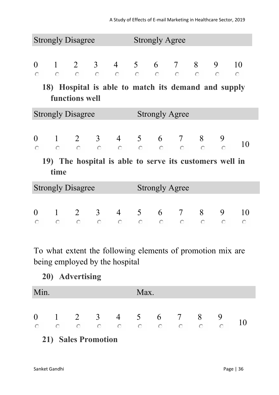|                                                                       |            | <b>Strongly Disagree</b> |           |            | <b>Strongly Agree</b> |                                                                                                               |         |                                                         |                 |               |  |  |
|-----------------------------------------------------------------------|------------|--------------------------|-----------|------------|-----------------------|---------------------------------------------------------------------------------------------------------------|---------|---------------------------------------------------------|-----------------|---------------|--|--|
| $\theta$<br>$\circ$                                                   | $\circ$ O  |                          |           |            |                       | $\begin{array}{cccccccccccccccccc} \circ & \circ & \circ & \circ & \circ & \circ & \circ & \circ \end{array}$ |         | $1 \t2 \t3 \t4 \t5 \t6 \t7 \t8$                         | 9<br>$\bigcirc$ | 10<br>$\circ$ |  |  |
| 18) Hospital is able to match its demand and supply<br>functions well |            |                          |           |            |                       |                                                                                                               |         |                                                         |                 |               |  |  |
| <b>Strongly Disagree</b><br><b>Strongly Agree</b>                     |            |                          |           |            |                       |                                                                                                               |         |                                                         |                 |               |  |  |
| $\Omega$<br>$\circ$                                                   | $\bigcirc$ | $\circ$ C                | $\circ$   |            |                       | $\begin{array}{cccccccc}\n\circ & & \circ & & \circ & & \circ\n\end{array}$                                   |         | $1 \t2 \t3 \t4 \t5 \t6 \t7 \t8$<br>$\circ$              | 9<br>$\circ$    | 10            |  |  |
|                                                                       | time       |                          |           |            |                       |                                                                                                               |         | 19) The hospital is able to serve its customers well in |                 |               |  |  |
|                                                                       |            | <b>Strongly Disagree</b> |           |            |                       | <b>Strongly Agree</b>                                                                                         |         |                                                         |                 |               |  |  |
| 0<br>$\circ$                                                          | $\circ$    | $\circ$                  | $\circ$ O | $\bigcirc$ | $\circ$               | $\bigcirc$                                                                                                    | $\circ$ | $1 \t2 \t3 \t4 \t5 \t6 \t7 \t8$<br>$\bigcirc$           | 9<br>$\bigcirc$ | 10<br>$\circ$ |  |  |

To what extent the following elements of promotion mix are being employed by the hospital

**20) Advertising**

| Min. |  |  | Max. |  |  |  |  |  |  |  |
|------|--|--|------|--|--|--|--|--|--|--|
|      |  |  |      |  |  |  |  |  |  |  |
|      |  |  |      |  |  |  |  |  |  |  |

### **21) Sales Promotion**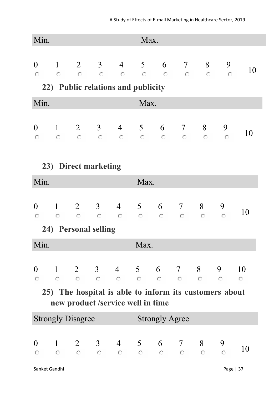| Min.                                                                                        |              |  |                                    |  |      | Max.                  |                                                                                                                                                                  |  |                                                                                                               |           |  |  |
|---------------------------------------------------------------------------------------------|--------------|--|------------------------------------|--|------|-----------------------|------------------------------------------------------------------------------------------------------------------------------------------------------------------|--|---------------------------------------------------------------------------------------------------------------|-----------|--|--|
|                                                                                             |              |  | 22) Public relations and publicity |  |      |                       | 0 1 2 3 4 5 6 7 8 9                                                                                                                                              |  |                                                                                                               | <b>10</b> |  |  |
| Min.                                                                                        |              |  |                                    |  | Max. |                       |                                                                                                                                                                  |  |                                                                                                               |           |  |  |
|                                                                                             |              |  |                                    |  |      |                       | $\begin{array}{cccccccccccc} 0 & 1 & 2 & 3 & 4 & 5 & 6 & 7 & 8 & 9 \\ \circ & \circ & \circ & \circ & \circ & \circ & \circ & \circ & \circ & \circ \end{array}$ |  |                                                                                                               | 10        |  |  |
| 23) Direct marketing                                                                        |              |  |                                    |  |      |                       |                                                                                                                                                                  |  |                                                                                                               |           |  |  |
|                                                                                             | Min.<br>Max. |  |                                    |  |      |                       |                                                                                                                                                                  |  |                                                                                                               |           |  |  |
| $\overline{0}$                                                                              |              |  | 24) Personal selling               |  |      |                       | 1 2 3 4 5 6 7 8 9                                                                                                                                                |  |                                                                                                               | 10        |  |  |
| Min.                                                                                        |              |  |                                    |  | Max. |                       |                                                                                                                                                                  |  |                                                                                                               |           |  |  |
|                                                                                             |              |  |                                    |  |      |                       |                                                                                                                                                                  |  |                                                                                                               |           |  |  |
|                                                                                             |              |  |                                    |  |      |                       |                                                                                                                                                                  |  | $\begin{matrix} 0 & 1 & 2 & 3 & 4 & 5 & 6 & 7 & 8 & 9 & 10 \\ 0 & 0 & 0 & 0 & 0 & 0 & 0 & 0 & 0 \end{matrix}$ |           |  |  |
| 25) The hospital is able to inform its customers about<br>new product /service well in time |              |  |                                    |  |      |                       |                                                                                                                                                                  |  |                                                                                                               |           |  |  |
| <b>Strongly Disagree</b>                                                                    |              |  |                                    |  |      | <b>Strongly Agree</b> |                                                                                                                                                                  |  |                                                                                                               |           |  |  |
|                                                                                             |              |  |                                    |  |      |                       | $\begin{array}{cccccccccccc} 0 & 1 & 2 & 3 & 4 & 5 & 6 & 7 & 8 & 9 \\ \circ & \circ & \circ & \circ & \circ & \circ & \circ & \circ & \circ & \circ \end{array}$ |  |                                                                                                               | 10        |  |  |